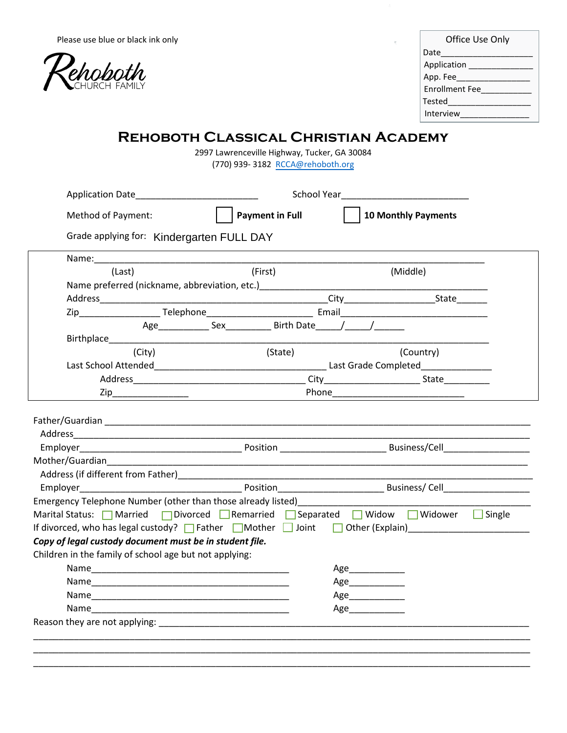

| Office Use Only       |
|-----------------------|
| Date                  |
| Application           |
| App. Fee              |
| <b>Fnrollment Fee</b> |
| Tested                |
| Interview             |

## **Rehoboth Classical Christian Academy**

2997 Lawrenceville Highway, Tucker, GA 30084 (770) 939- 3182 RCCA[@rehoboth.org](mailto:RCCS@rehoboth.org)

|                                                                                                                                                                                   | Application Date                                                                                               |                                                                          |                   |                                                                                                     |
|-----------------------------------------------------------------------------------------------------------------------------------------------------------------------------------|----------------------------------------------------------------------------------------------------------------|--------------------------------------------------------------------------|-------------------|-----------------------------------------------------------------------------------------------------|
| Method of Payment:                                                                                                                                                                |                                                                                                                | <b>Payment in Full</b>                                                   |                   | <b>10 Monthly Payments</b>                                                                          |
|                                                                                                                                                                                   | Grade applying for: Kindergarten FULL DAY                                                                      |                                                                          |                   |                                                                                                     |
|                                                                                                                                                                                   |                                                                                                                |                                                                          |                   |                                                                                                     |
| (Last)                                                                                                                                                                            |                                                                                                                | (First)                                                                  |                   | (Middle)                                                                                            |
|                                                                                                                                                                                   |                                                                                                                |                                                                          |                   |                                                                                                     |
|                                                                                                                                                                                   |                                                                                                                |                                                                          |                   |                                                                                                     |
|                                                                                                                                                                                   |                                                                                                                | Zip Telephone Telephone Email                                            |                   |                                                                                                     |
|                                                                                                                                                                                   |                                                                                                                | Age______________ Sex______________ Birth Date_______/_______/__________ |                   |                                                                                                     |
|                                                                                                                                                                                   | Birthplace and the contract of the contract of the contract of the contract of the contract of the contract of |                                                                          |                   |                                                                                                     |
|                                                                                                                                                                                   | (City)                                                                                                         | (State)                                                                  |                   | (Country)                                                                                           |
|                                                                                                                                                                                   |                                                                                                                |                                                                          |                   |                                                                                                     |
|                                                                                                                                                                                   |                                                                                                                |                                                                          |                   |                                                                                                     |
|                                                                                                                                                                                   |                                                                                                                |                                                                          |                   |                                                                                                     |
|                                                                                                                                                                                   |                                                                                                                |                                                                          |                   |                                                                                                     |
|                                                                                                                                                                                   |                                                                                                                |                                                                          |                   |                                                                                                     |
|                                                                                                                                                                                   |                                                                                                                |                                                                          |                   |                                                                                                     |
|                                                                                                                                                                                   |                                                                                                                |                                                                          |                   |                                                                                                     |
|                                                                                                                                                                                   |                                                                                                                |                                                                          |                   |                                                                                                     |
|                                                                                                                                                                                   |                                                                                                                |                                                                          |                   |                                                                                                     |
|                                                                                                                                                                                   |                                                                                                                |                                                                          |                   | Marital Status: <b>Narional Contract Property</b> Separated Number 2011 Midower Monetagnery Single  |
|                                                                                                                                                                                   |                                                                                                                |                                                                          |                   | If divorced, who has legal custody? $\Box$ Father $\Box$ Mother $\Box$ Joint $\Box$ Other (Explain) |
|                                                                                                                                                                                   |                                                                                                                |                                                                          |                   |                                                                                                     |
|                                                                                                                                                                                   |                                                                                                                |                                                                          |                   |                                                                                                     |
|                                                                                                                                                                                   |                                                                                                                |                                                                          |                   |                                                                                                     |
|                                                                                                                                                                                   |                                                                                                                |                                                                          | Age______________ |                                                                                                     |
|                                                                                                                                                                                   |                                                                                                                |                                                                          | Age______________ |                                                                                                     |
| Emergency Telephone Number (other than those already listed)<br>Copy of legal custody document must be in student file.<br>Children in the family of school age but not applying: |                                                                                                                |                                                                          | Age               |                                                                                                     |

\_\_\_\_\_\_\_\_\_\_\_\_\_\_\_\_\_\_\_\_\_\_\_\_\_\_\_\_\_\_\_\_\_\_\_\_\_\_\_\_\_\_\_\_\_\_\_\_\_\_\_\_\_\_\_\_\_\_\_\_\_\_\_\_\_\_\_\_\_\_\_\_\_\_\_\_\_\_\_\_\_\_\_\_\_\_\_\_\_\_\_\_\_\_\_\_\_\_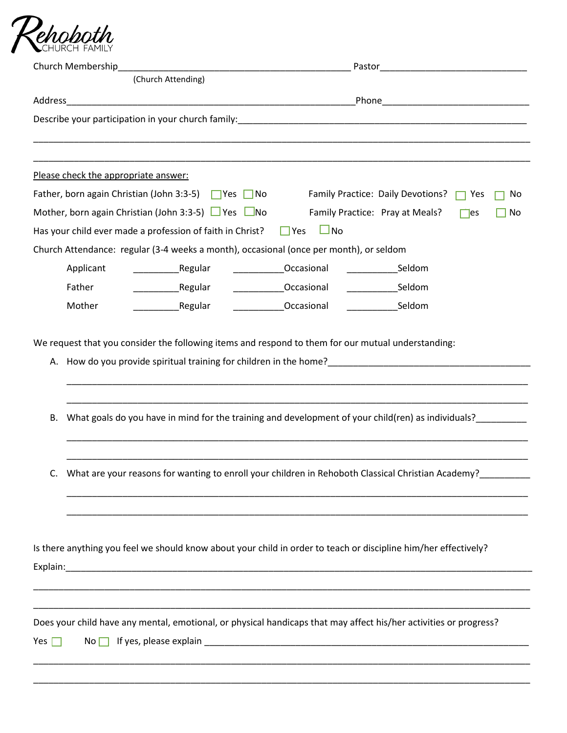

| Church Membership                                                                      |                                                                                                                                                                                                                                                                 |
|----------------------------------------------------------------------------------------|-----------------------------------------------------------------------------------------------------------------------------------------------------------------------------------------------------------------------------------------------------------------|
| (Church Attending)                                                                     |                                                                                                                                                                                                                                                                 |
| Address                                                                                |                                                                                                                                                                                                                                                                 |
|                                                                                        |                                                                                                                                                                                                                                                                 |
|                                                                                        |                                                                                                                                                                                                                                                                 |
|                                                                                        |                                                                                                                                                                                                                                                                 |
| Please check the appropriate answer:                                                   |                                                                                                                                                                                                                                                                 |
| Father, born again Christian (John 3:3-5) $\Box$ Yes $\Box$ No                         | Family Practice: Daily Devotions?<br>Yes<br>No                                                                                                                                                                                                                  |
| Mother, born again Christian (John 3:3-5) $\Box$ Yes $\Box$ No                         | Family Practice: Pray at Meals?<br>$\mathsf{e}$ s<br>No                                                                                                                                                                                                         |
| Has your child ever made a profession of faith in Christ? $\Box$ Yes                   | $\Box$ No                                                                                                                                                                                                                                                       |
| Church Attendance: regular (3-4 weeks a month), occasional (once per month), or seldom |                                                                                                                                                                                                                                                                 |
| Applicant                                                                              | Occasional<br><b>Seldom</b>                                                                                                                                                                                                                                     |
| Father<br>Regular                                                                      | _____________Occasional<br>___________________Seldom                                                                                                                                                                                                            |
| Mother<br>Regular                                                                      | Occasional<br>________________Seldom                                                                                                                                                                                                                            |
| В.                                                                                     | A. How do you provide spiritual training for children in the home?<br>A. How do you provide spiritual training for children in the home?<br>A.<br>What goals do you have in mind for the training and development of your child(ren) as individuals?___________ |
|                                                                                        | What are your reasons for wanting to enroll your children in Rehoboth Classical Christian Academy?                                                                                                                                                              |
|                                                                                        | Is there anything you feel we should know about your child in order to teach or discipline him/her effectively?                                                                                                                                                 |
|                                                                                        |                                                                                                                                                                                                                                                                 |
|                                                                                        |                                                                                                                                                                                                                                                                 |
| Yes $\Box$<br>$No \Box$                                                                | Does your child have any mental, emotional, or physical handicaps that may affect his/her activities or progress?                                                                                                                                               |
|                                                                                        |                                                                                                                                                                                                                                                                 |
|                                                                                        |                                                                                                                                                                                                                                                                 |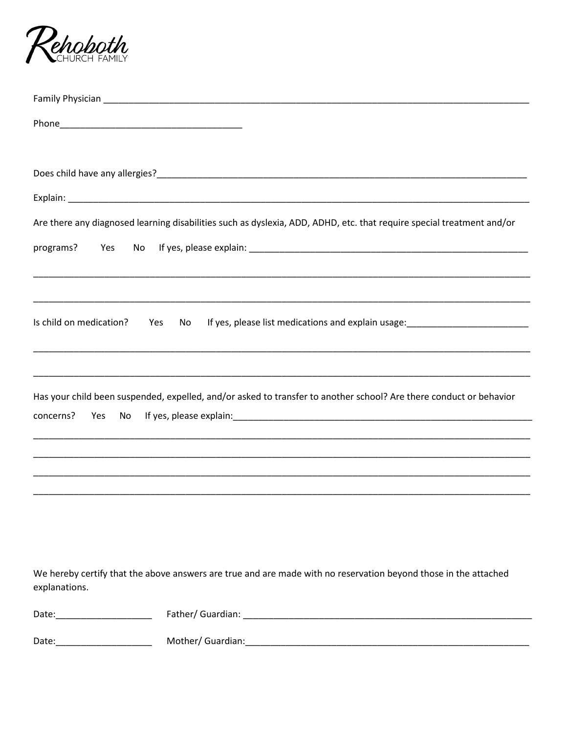

| Are there any diagnosed learning disabilities such as dyslexia, ADD, ADHD, etc. that require special treatment and/or                        |
|----------------------------------------------------------------------------------------------------------------------------------------------|
| programs?<br>Yes<br>No                                                                                                                       |
|                                                                                                                                              |
| Is child on medication?<br>If yes, please list medications and explain usage: _____________________________<br>Yes<br>No                     |
|                                                                                                                                              |
| Has your child been suspended, expelled, and/or asked to transfer to another school? Are there conduct or behavior<br>concerns?<br>Yes<br>No |
|                                                                                                                                              |
|                                                                                                                                              |
|                                                                                                                                              |
|                                                                                                                                              |
|                                                                                                                                              |
| We hereby certify that the above answers are true and are made with no reservation beyond those in the attached                              |
| explanations.                                                                                                                                |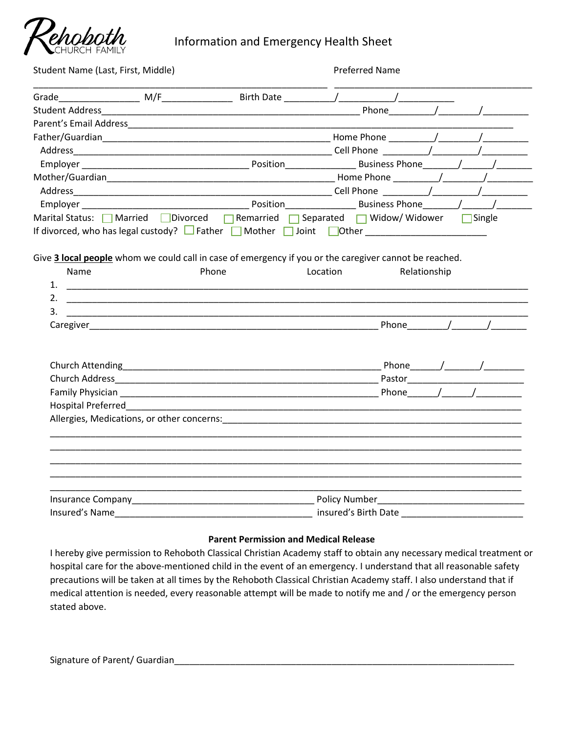

Information and Emergency Health Sheet

| Student Name (Last, First, Middle)                                                                                                                                                                                                  |  |       | <b>Preferred Name</b>                                                                                                              |  |  |
|-------------------------------------------------------------------------------------------------------------------------------------------------------------------------------------------------------------------------------------|--|-------|------------------------------------------------------------------------------------------------------------------------------------|--|--|
|                                                                                                                                                                                                                                     |  |       |                                                                                                                                    |  |  |
|                                                                                                                                                                                                                                     |  |       | Phone $\sqrt{2\pi r}$                                                                                                              |  |  |
|                                                                                                                                                                                                                                     |  |       |                                                                                                                                    |  |  |
|                                                                                                                                                                                                                                     |  |       |                                                                                                                                    |  |  |
|                                                                                                                                                                                                                                     |  |       |                                                                                                                                    |  |  |
|                                                                                                                                                                                                                                     |  |       |                                                                                                                                    |  |  |
|                                                                                                                                                                                                                                     |  |       |                                                                                                                                    |  |  |
|                                                                                                                                                                                                                                     |  |       |                                                                                                                                    |  |  |
|                                                                                                                                                                                                                                     |  |       |                                                                                                                                    |  |  |
|                                                                                                                                                                                                                                     |  |       | Marital Status: Narried Divorced Memarried Separated Midow/Widower Single                                                          |  |  |
| <b>Name</b><br>3.                                                                                                                                                                                                                   |  | Phone | Give 3 local people whom we could call in case of emergency if you or the caregiver cannot be reached.<br>Location<br>Relationship |  |  |
|                                                                                                                                                                                                                                     |  |       |                                                                                                                                    |  |  |
|                                                                                                                                                                                                                                     |  |       |                                                                                                                                    |  |  |
|                                                                                                                                                                                                                                     |  |       |                                                                                                                                    |  |  |
|                                                                                                                                                                                                                                     |  |       |                                                                                                                                    |  |  |
|                                                                                                                                                                                                                                     |  |       |                                                                                                                                    |  |  |
|                                                                                                                                                                                                                                     |  |       |                                                                                                                                    |  |  |
|                                                                                                                                                                                                                                     |  |       |                                                                                                                                    |  |  |
|                                                                                                                                                                                                                                     |  |       |                                                                                                                                    |  |  |
| Insured's Name <b>Manual Community of the Community of the Community</b> of the Community of the Community of the Community of the Community of the Community of the Community of the Community of the Community of the Community o |  |       |                                                                                                                                    |  |  |

#### **Parent Permission and Medical Release**

I hereby give permission to Rehoboth Classical Christian Academy staff to obtain any necessary medical treatment or hospital care for the above-mentioned child in the event of an emergency. I understand that all reasonable safety precautions will be taken at all times by the Rehoboth Classical Christian Academy staff. I also understand that if medical attention is needed, every reasonable attempt will be made to notify me and / or the emergency person stated above.

Signature of Parent/ Guardian\_\_\_\_\_\_\_\_\_\_\_\_\_\_\_\_\_\_\_\_\_\_\_\_\_\_\_\_\_\_\_\_\_\_\_\_\_\_\_\_\_\_\_\_\_\_\_\_\_\_\_\_\_\_\_\_\_\_\_\_\_\_\_\_\_\_\_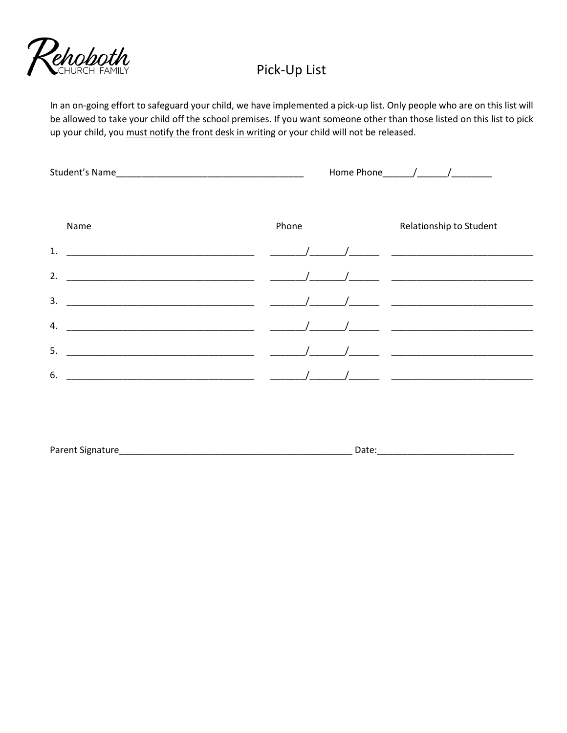

## Pick-Up List

In an on-going effort to safeguard your child, we have implemented a pick-up list. Only people who are on this list will be allowed to take your child off the school premises. If you want someone other than those listed on this list to pick up your child, you must notify the front desk in writing or your child will not be released.

|      |                                                                                                                                                         | Home Phone $\frac{1}{2}$ /                                                                                                              |
|------|---------------------------------------------------------------------------------------------------------------------------------------------------------|-----------------------------------------------------------------------------------------------------------------------------------------|
| Name | Phone                                                                                                                                                   | Relationship to Student                                                                                                                 |
| 1.   |                                                                                                                                                         |                                                                                                                                         |
| 2.   |                                                                                                                                                         |                                                                                                                                         |
| 3.   | $\sqrt{2}$                                                                                                                                              |                                                                                                                                         |
| 4.   |                                                                                                                                                         | $\overline{1}$ , and the contract of $\overline{1}$ , and $\overline{1}$ , and $\overline{1}$ , and $\overline{1}$ , and $\overline{1}$ |
| 5.   | $\mathcal{L} = \{ \mathcal{L} \mid \mathcal{L} \in \mathcal{L} \}$ . The contract of $\mathcal{L} = \{ \mathcal{L} \mid \mathcal{L} \in \mathcal{L} \}$ | $\mathcal{L}$ and the contract of $\mathcal{L}$                                                                                         |
| 6.   |                                                                                                                                                         |                                                                                                                                         |
|      |                                                                                                                                                         |                                                                                                                                         |

|  | Parent Signature | Date. |
|--|------------------|-------|
|--|------------------|-------|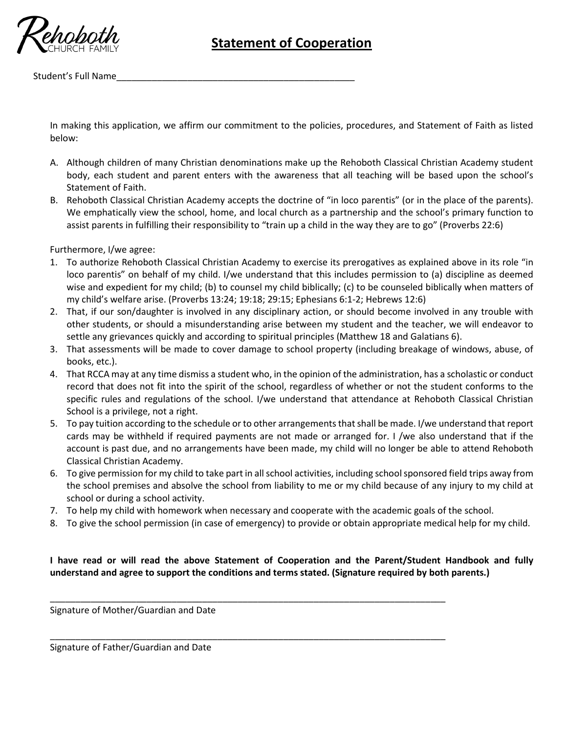

# **Statement of Cooperation**

Student's Full Name\_\_\_\_\_\_\_\_\_\_\_\_\_\_\_\_\_\_\_\_\_\_\_\_\_\_\_\_\_\_\_\_\_\_\_\_\_\_\_\_\_\_\_\_\_\_\_

In making this application, we affirm our commitment to the policies, procedures, and Statement of Faith as listed below:

- A. Although children of many Christian denominations make up the Rehoboth Classical Christian Academy student body, each student and parent enters with the awareness that all teaching will be based upon the school's Statement of Faith.
- B. Rehoboth Classical Christian Academy accepts the doctrine of "in loco parentis" (or in the place of the parents). We emphatically view the school, home, and local church as a partnership and the school's primary function to assist parents in fulfilling their responsibility to "train up a child in the way they are to go" (Proverbs 22:6)

Furthermore, I/we agree:

- 1. To authorize Rehoboth Classical Christian Academy to exercise its prerogatives as explained above in its role "in loco parentis" on behalf of my child. I/we understand that this includes permission to (a) discipline as deemed wise and expedient for my child; (b) to counsel my child biblically; (c) to be counseled biblically when matters of my child's welfare arise. (Proverbs 13:24; 19:18; 29:15; Ephesians 6:1-2; Hebrews 12:6)
- 2. That, if our son/daughter is involved in any disciplinary action, or should become involved in any trouble with other students, or should a misunderstanding arise between my student and the teacher, we will endeavor to settle any grievances quickly and according to spiritual principles (Matthew 18 and Galatians 6).
- 3. That assessments will be made to cover damage to school property (including breakage of windows, abuse, of books, etc.).
- 4. That RCCA may at any time dismiss a student who, in the opinion of the administration, has a scholastic or conduct record that does not fit into the spirit of the school, regardless of whether or not the student conforms to the specific rules and regulations of the school. I/we understand that attendance at Rehoboth Classical Christian School is a privilege, not a right.
- 5. To pay tuition according to the schedule or to other arrangements that shall be made. I/we understand that report cards may be withheld if required payments are not made or arranged for. I /we also understand that if the account is past due, and no arrangements have been made, my child will no longer be able to attend Rehoboth Classical Christian Academy.
- 6. To give permission for my child to take part in all school activities, including school sponsored field trips away from the school premises and absolve the school from liability to me or my child because of any injury to my child at school or during a school activity.
- 7. To help my child with homework when necessary and cooperate with the academic goals of the school.

\_\_\_\_\_\_\_\_\_\_\_\_\_\_\_\_\_\_\_\_\_\_\_\_\_\_\_\_\_\_\_\_\_\_\_\_\_\_\_\_\_\_\_\_\_\_\_\_\_\_\_\_\_\_\_\_\_\_\_\_\_\_\_\_\_\_\_\_\_\_\_\_\_\_\_\_\_\_

\_\_\_\_\_\_\_\_\_\_\_\_\_\_\_\_\_\_\_\_\_\_\_\_\_\_\_\_\_\_\_\_\_\_\_\_\_\_\_\_\_\_\_\_\_\_\_\_\_\_\_\_\_\_\_\_\_\_\_\_\_\_\_\_\_\_\_\_\_\_\_\_\_\_\_\_\_\_

8. To give the school permission (in case of emergency) to provide or obtain appropriate medical help for my child.

**I have read or will read the above Statement of Cooperation and the Parent/Student Handbook and fully understand and agree to support the conditions and terms stated. (Signature required by both parents.)** 

Signature of Mother/Guardian and Date

Signature of Father/Guardian and Date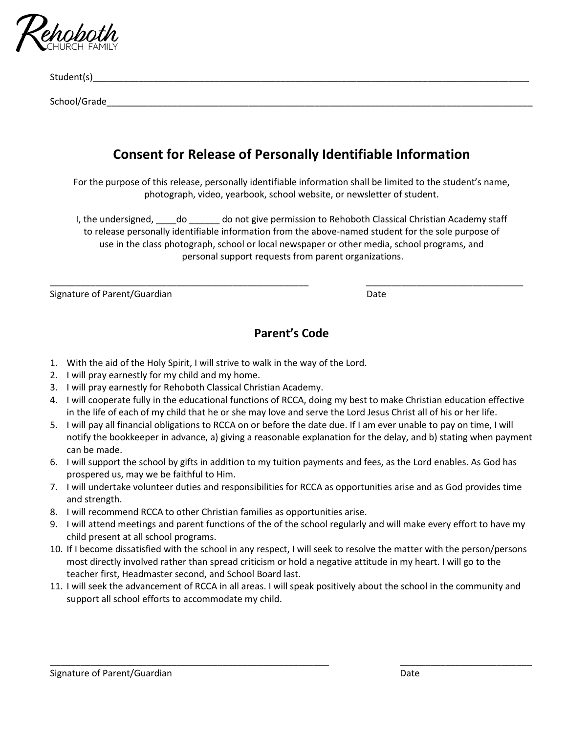

Student(s)\_\_\_\_\_\_\_\_\_\_\_\_\_\_\_\_\_\_\_\_\_\_\_\_\_\_\_\_\_\_\_\_\_\_\_\_\_\_\_\_\_\_\_\_\_\_\_\_\_\_\_\_\_\_\_\_\_\_\_\_\_\_\_\_\_\_\_\_\_\_\_\_\_\_\_\_\_\_\_\_\_\_\_\_\_\_

School/Grade

## **Consent for Release of Personally Identifiable Information**

For the purpose of this release, personally identifiable information shall be limited to the student's name, photograph, video, yearbook, school website, or newsletter of student.

I, the undersigned, do do not give permission to Rehoboth Classical Christian Academy staff to release personally identifiable information from the above-named student for the sole purpose of use in the class photograph, school or local newspaper or other media, school programs, and personal support requests from parent organizations.

\_\_\_\_\_\_\_\_\_\_\_\_\_\_\_\_\_\_\_\_\_\_\_\_\_\_\_\_\_\_\_\_\_\_\_\_\_\_\_\_\_\_\_\_\_\_\_\_\_\_\_ \_\_\_\_\_\_\_\_\_\_\_\_\_\_\_\_\_\_\_\_\_\_\_\_\_\_\_\_\_\_\_

Signature of Parent/Guardian Date Date Date

### **Parent's Code**

- 1. With the aid of the Holy Spirit, I will strive to walk in the way of the Lord.
- 2. I will pray earnestly for my child and my home.
- 3. I will pray earnestly for Rehoboth Classical Christian Academy.
- 4. I will cooperate fully in the educational functions of RCCA, doing my best to make Christian education effective in the life of each of my child that he or she may love and serve the Lord Jesus Christ all of his or her life.
- 5. I will pay all financial obligations to RCCA on or before the date due. If I am ever unable to pay on time, I will notify the bookkeeper in advance, a) giving a reasonable explanation for the delay, and b) stating when payment can be made.
- 6. I will support the school by gifts in addition to my tuition payments and fees, as the Lord enables. As God has prospered us, may we be faithful to Him.
- 7. I will undertake volunteer duties and responsibilities for RCCA as opportunities arise and as God provides time and strength.
- 8. I will recommend RCCA to other Christian families as opportunities arise.
- 9. I will attend meetings and parent functions of the of the school regularly and will make every effort to have my child present at all school programs.
- 10. If I become dissatisfied with the school in any respect, I will seek to resolve the matter with the person/persons most directly involved rather than spread criticism or hold a negative attitude in my heart. I will go to the teacher first, Headmaster second, and School Board last.
- 11. I will seek the advancement of RCCA in all areas. I will speak positively about the school in the community and support all school efforts to accommodate my child.

\_\_\_\_\_\_\_\_\_\_\_\_\_\_\_\_\_\_\_\_\_\_\_\_\_\_\_\_\_\_\_\_\_\_\_\_\_\_\_\_\_\_\_\_\_\_\_\_\_\_\_\_\_\_\_ \_\_\_\_\_\_\_\_\_\_\_\_\_\_\_\_\_\_\_\_\_\_\_\_\_\_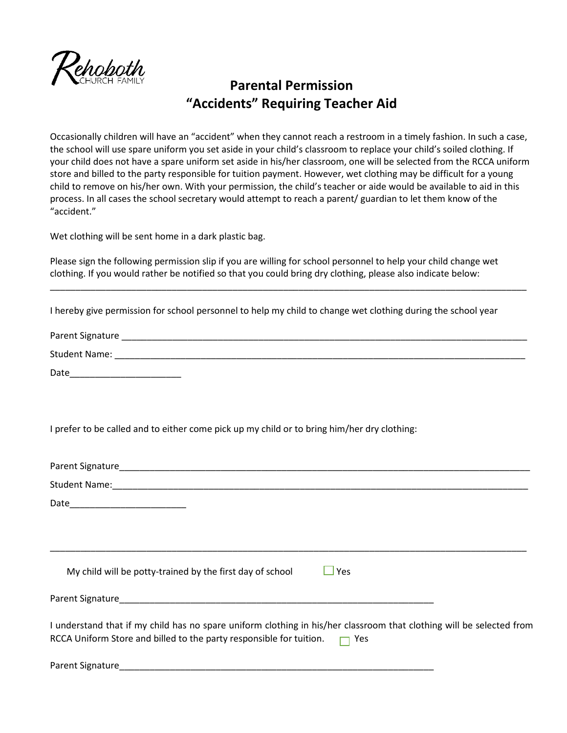

## **Parental Permission "Accidents" Requiring Teacher Aid**

Occasionally children will have an "accident" when they cannot reach a restroom in a timely fashion. In such a case, the school will use spare uniform you set aside in your child's classroom to replace your child's soiled clothing. If your child does not have a spare uniform set aside in his/her classroom, one will be selected from the RCCA uniform store and billed to the party responsible for tuition payment. However, wet clothing may be difficult for a young child to remove on his/her own. With your permission, the child's teacher or aide would be available to aid in this process. In all cases the school secretary would attempt to reach a parent/ guardian to let them know of the "accident."

Wet clothing will be sent home in a dark plastic bag.

Please sign the following permission slip if you are willing for school personnel to help your child change wet clothing. If you would rather be notified so that you could bring dry clothing, please also indicate below:

I hereby give permission for school personnel to help my child to change wet clothing during the school year

| Parent Signature     |  |  |  |
|----------------------|--|--|--|
| <b>Student Name:</b> |  |  |  |
| $ -$                 |  |  |  |

\_\_\_\_\_\_\_\_\_\_\_\_\_\_\_\_\_\_\_\_\_\_\_\_\_\_\_\_\_\_\_\_\_\_\_\_\_\_\_\_\_\_\_\_\_\_\_\_\_\_\_\_\_\_\_\_\_\_\_\_\_\_\_\_\_\_\_\_\_\_\_\_\_\_\_\_\_\_\_\_\_\_\_\_\_\_\_\_\_\_\_\_\_\_

Date\_\_\_\_\_\_\_\_\_\_\_\_\_\_\_\_\_\_\_\_\_\_

I prefer to be called and to either come pick up my child or to bring him/her dry clothing:

| $\Box$ Yes<br>My child will be potty-trained by the first day of school                                              |
|----------------------------------------------------------------------------------------------------------------------|
|                                                                                                                      |
| I understand that if my child has no spare uniform clothing in his/her classroom that clothing will be selected from |
| RCCA Uniform Store and billed to the party responsible for tuition. $\Box$ Yes                                       |
|                                                                                                                      |